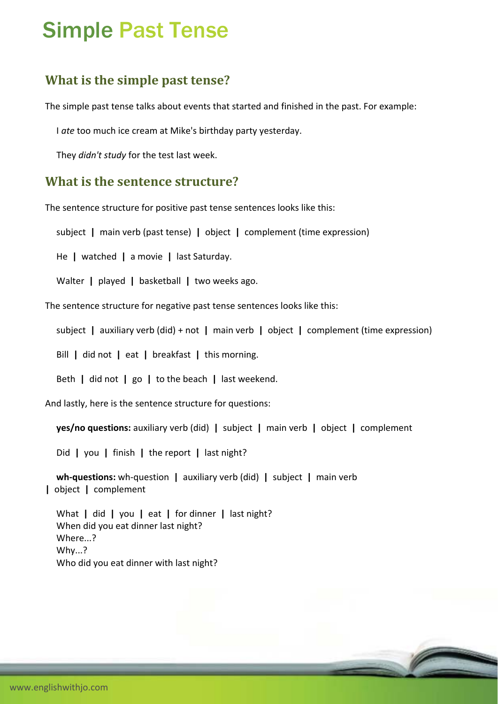# Simple Past Tense

## **What is the simple past tense?**

The simple past tense talks about events that started and finished in the past. For example:

I *ate* too much ice cream at Mike's birthday party yesterday.

They *didn't study* for the test last week.

#### **What is the sentence structure?**

The sentence structure for positive past tense sentences looks like this:

subject **|** main verb (past tense) **|** object **|** complement (time expression)

He **|** watched **|** a movie **|** last Saturday.

Walter **|** played **|** basketball **|** two weeks ago.

The sentence structure for negative past tense sentences looks like this:

subject **|** auxiliary verb (did) + not **|** main verb **|** object **|** complement (time expression)

Bill **|** did not **|** eat **|** breakfast **|** this morning.

Beth **|** did not **|** go **|** to the beach **|** last weekend.

And lastly, here is the sentence structure for questions:

**yes/no questions:** auxiliary verb (did) **|** subject **|** main verb **|** object **|** complement

Did **|** you **|** finish **|** the report **|** last night?

 **wh‐questions:** wh‐question **|** auxiliary verb (did) **|** subject **|** main verb **|** object **|** complement

 What **|** did **|** you **|** eat **|** for dinner **|** last night? When did you eat dinner last night? Where...? Why...? Who did you eat dinner with last night?